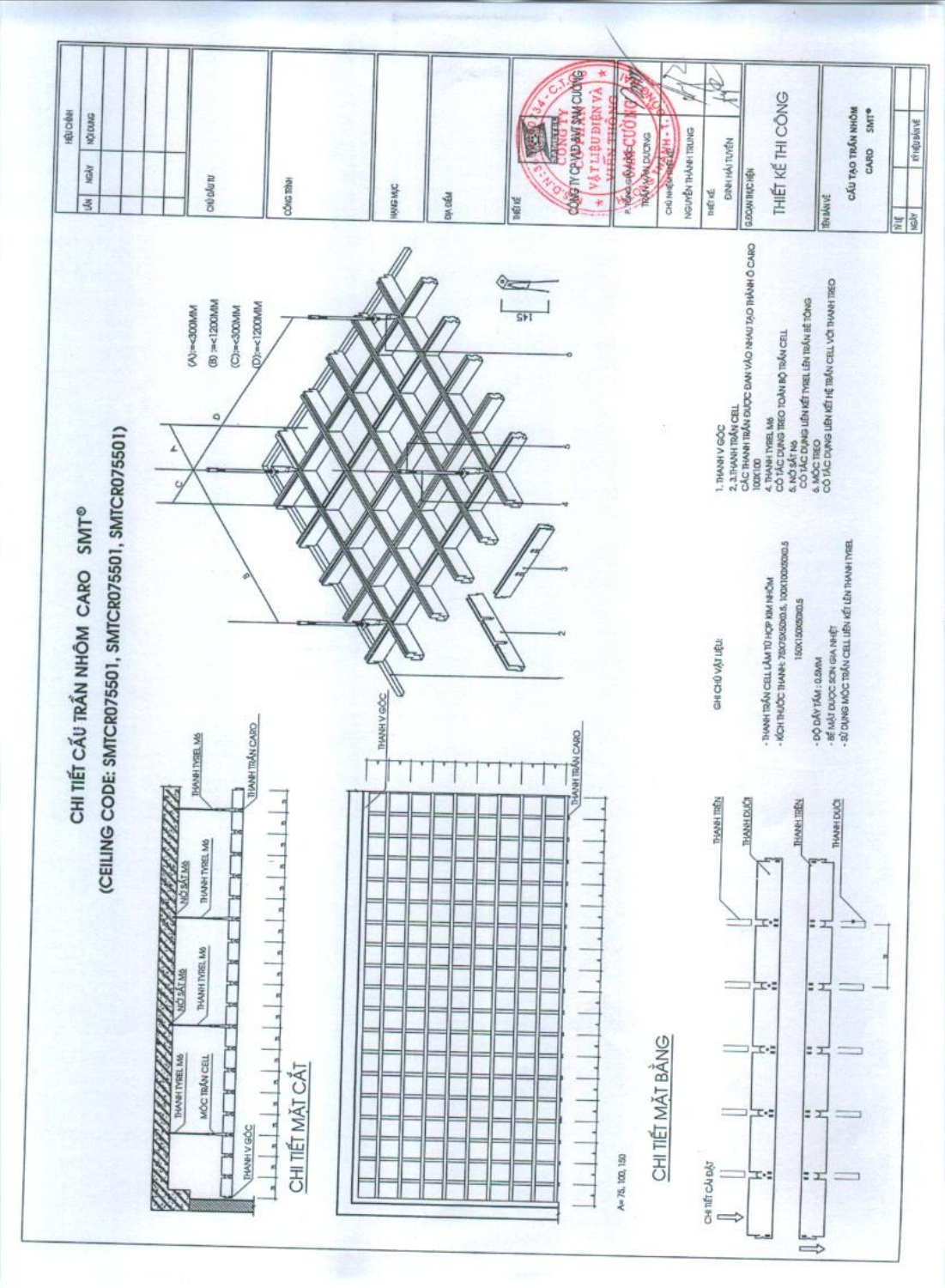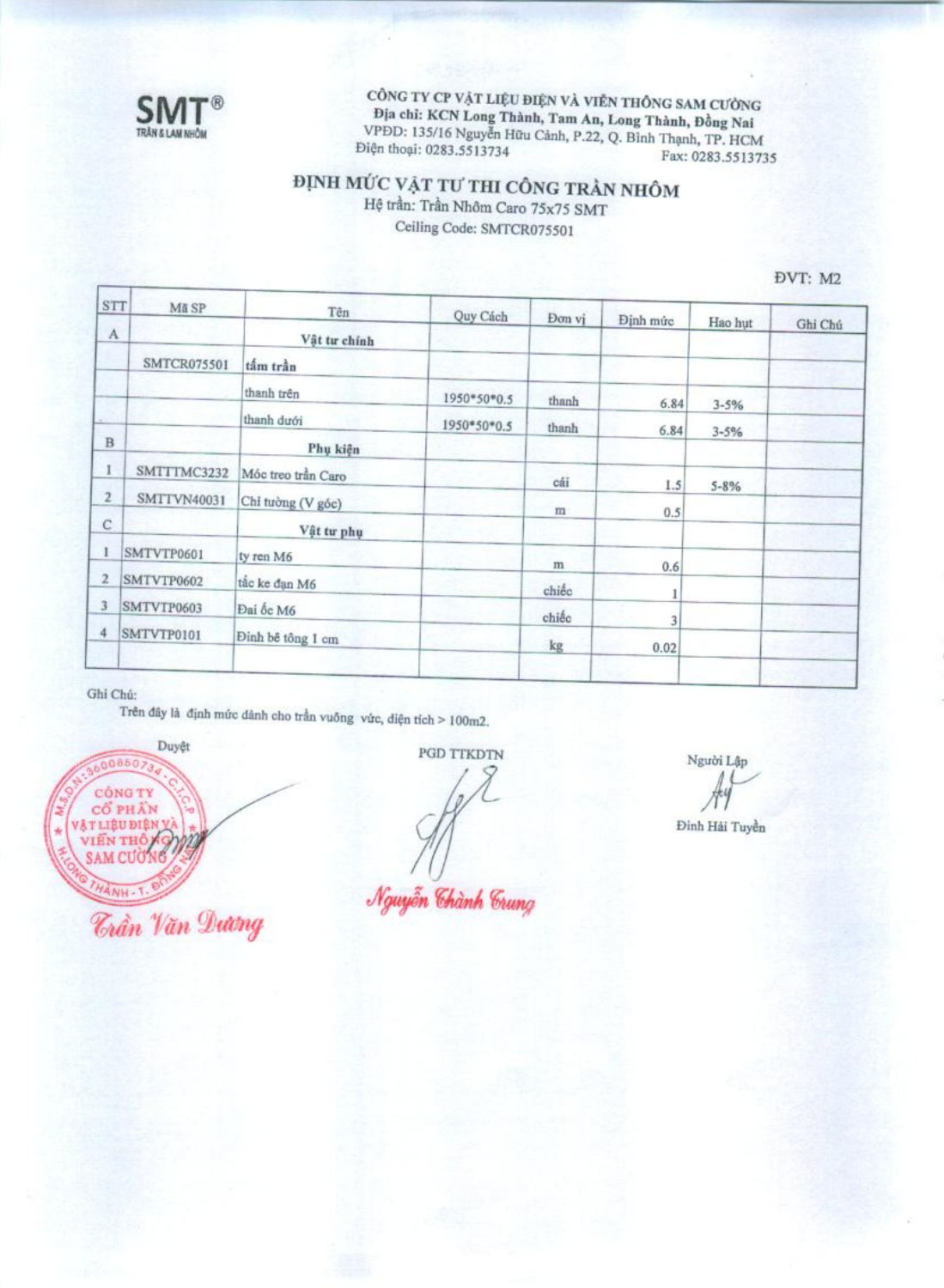

CÔNG TY CP VẬT LIỆU ĐIỆN VÀ VIỄN THÔNG SAM CƯỜNG Địa chỉ: KCN Long Thành, Tam An, Long Thành, Đồng Nai VPDD: 135/16 Nguyễn Hữu Cảnh, P.22, Q. Bình Thạnh, TP. HCM Điện thoại: 0283.5513734 Fax: 0283.5513735

### ĐỊNH MỨC VẬT TƯ THI CÔNG TRẦN NHÔM Hệ trần: Trần Nhôm Caro 75x75 SMT

Ceiling Code: SMTCR075501

ĐVT: M2

| STT                     | Mã SP              | Tên                | Quy Cách    | Don vi | <b>Dinh</b> mức        |          |         |
|-------------------------|--------------------|--------------------|-------------|--------|------------------------|----------|---------|
| $\mathbf A$             |                    | Vật tư chính       |             |        |                        | Hao hut  | Ghi Chú |
|                         | <b>SMTCR075501</b> | tấm trần           |             |        |                        |          |         |
|                         |                    | thanh trên         | 1950*50*0.5 | thanh  | 6.84                   | $3 - 5%$ |         |
|                         |                    | thanh dưới         | 1950*50*0.5 | thanh  | 6.84                   | $3 - 5%$ |         |
| B                       |                    | Phụ kiện           |             |        |                        |          |         |
| 1                       | SMTTTMC3232        | Móc treo trần Caro |             | cái    | 1.5                    | $5 - 8%$ |         |
| $\overline{\mathbf{z}}$ | <b>SMTTVN40031</b> | Chỉ tường (V góc)  |             | m      | 0.5                    |          |         |
| $\mathbf C$             |                    | Vật tư phụ         |             |        |                        |          |         |
|                         | SMTVTP0601         | ty ren M6          |             | m      | 0.6                    |          |         |
| 2                       | SMTVTP0602         | tắc ke đạn M6      |             | chiếc  |                        |          |         |
| 3                       | SMTVTP0603         | Đại ốc M6          |             | chiếc  | 1                      |          |         |
| 4                       | SMTVTP0101         | Đinh bê tông 1 cm  |             | kg     | $\overline{3}$<br>0.02 |          |         |
|                         |                    |                    |             |        |                        |          |         |

### Ghi Chú:

Trên đây là định mức dânh cho trần vuông vức, diện tích > 100m2.



PGD TTKDTN

Nguyễn Chành Crung

Người Lập

Đinh Hải Tuyền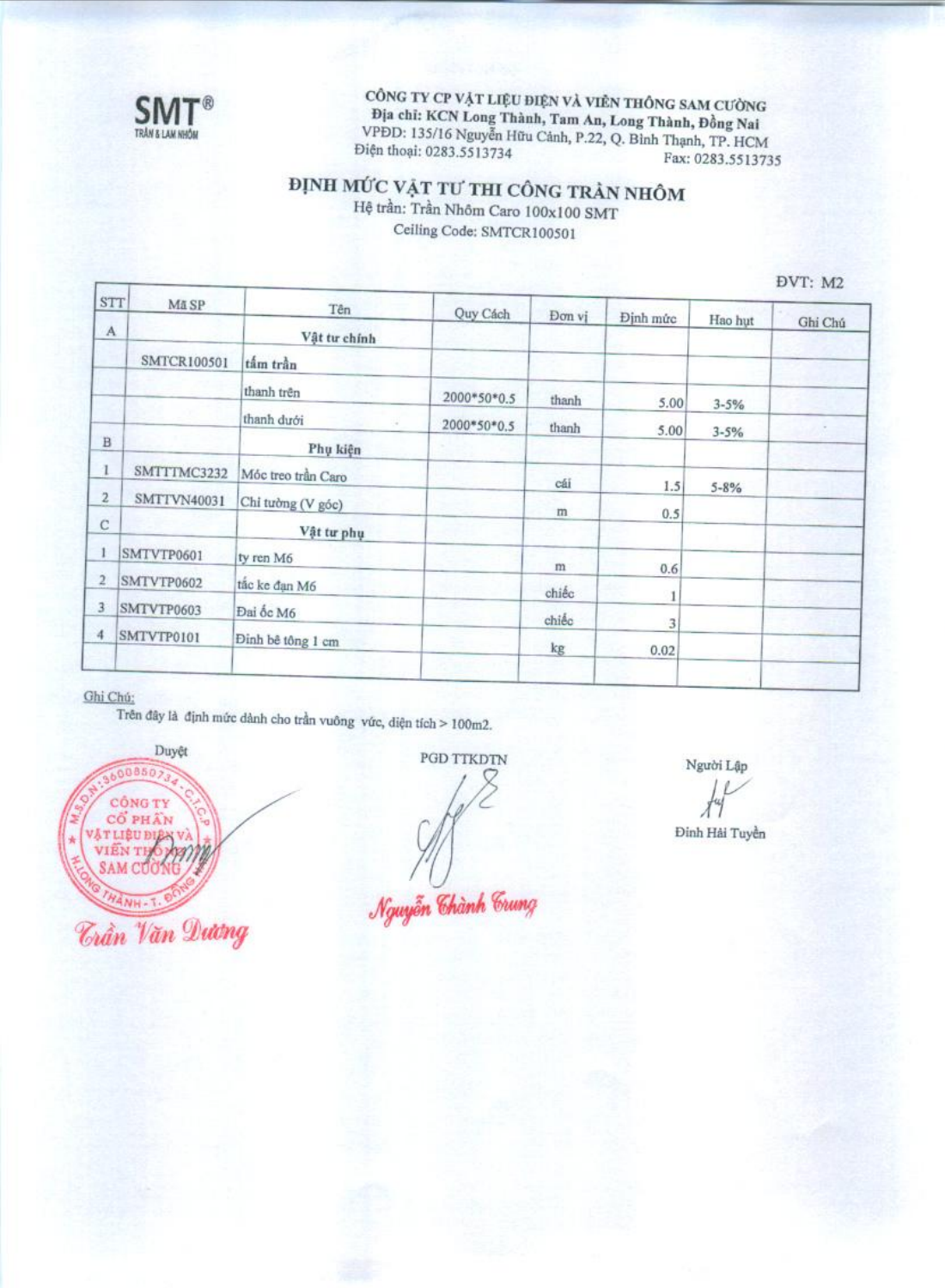

CÔNG TY CP VẬT LIỆU ĐIỆN VÀ VIÊN THÔNG SAM CƯỜNG Địa chỉ: KCN Long Thành, Tam An, Long Thành, Đồng Nai VPDD: 135/16 Nguyễn Hữu Cảnh, P.22, Q. Bình Thạnh, TP. HCM Điện thoại: 0283.5513734 Fax: 0283.5513735

## ĐỊNH MỨC VẬT TƯ THI CÔNG TRẢN NHÔM

Hệ trần: Trần Nhôm Caro 100x100 SMT Ceiling Code: SMTCR100501

DVT: M2

| <b>STT</b>              | Mã SP              | Tên                | Quy Cách    |        |           |           |         |
|-------------------------|--------------------|--------------------|-------------|--------|-----------|-----------|---------|
| $\mathbf{A}$            |                    | Vật tư chính       |             | Don vi | Định mức  | Hao hut   | Ghi Chú |
|                         | SMTCR100501        | tắm trần           |             |        |           |           |         |
|                         |                    | thanh trên         | 2000*50*0.5 | thanh  | 5.00      | $3 - 5%$  |         |
|                         |                    | thanh dưới         | 2000*50*0.5 | thanh  | 5.00      | $3 - 5%$  |         |
| $\, {\bf B}$            |                    | Phụ kiện           |             |        |           |           |         |
|                         | SMTTTMC3232        | Móc treo trần Caro |             | cái    | 1.5       | $5 - 8\%$ |         |
| $\overline{2}$          | <b>SMTTVN40031</b> | Chỉ tưởng (V góc)  |             | m      | 0.5       |           |         |
| С                       |                    | Vật tư phụ         |             |        |           |           |         |
| 1                       | SMTVTP0601         | ty ren M6          |             | m      |           |           |         |
| $\overline{\mathbf{2}}$ | SMTVTP0602         | tắc ke đạn M6      |             | chiếc  | 0.6       |           |         |
| 3                       | SMTVTP0603         | Đai ốc M6          |             | chiếc  | 1         |           |         |
| 4                       | SMTVTP0101         | Đỉnh bê tông 1 cm  |             | kg     | 3<br>0.02 |           |         |
|                         |                    |                    |             |        |           |           |         |

#### Ghi Chú:

Trên đây là định mức dành cho trần vuông vức, diện tích > 100m2.



PGD TTKDTN

Nguyễn Chành Crung

Người Lập

Đinh Hải Tuyền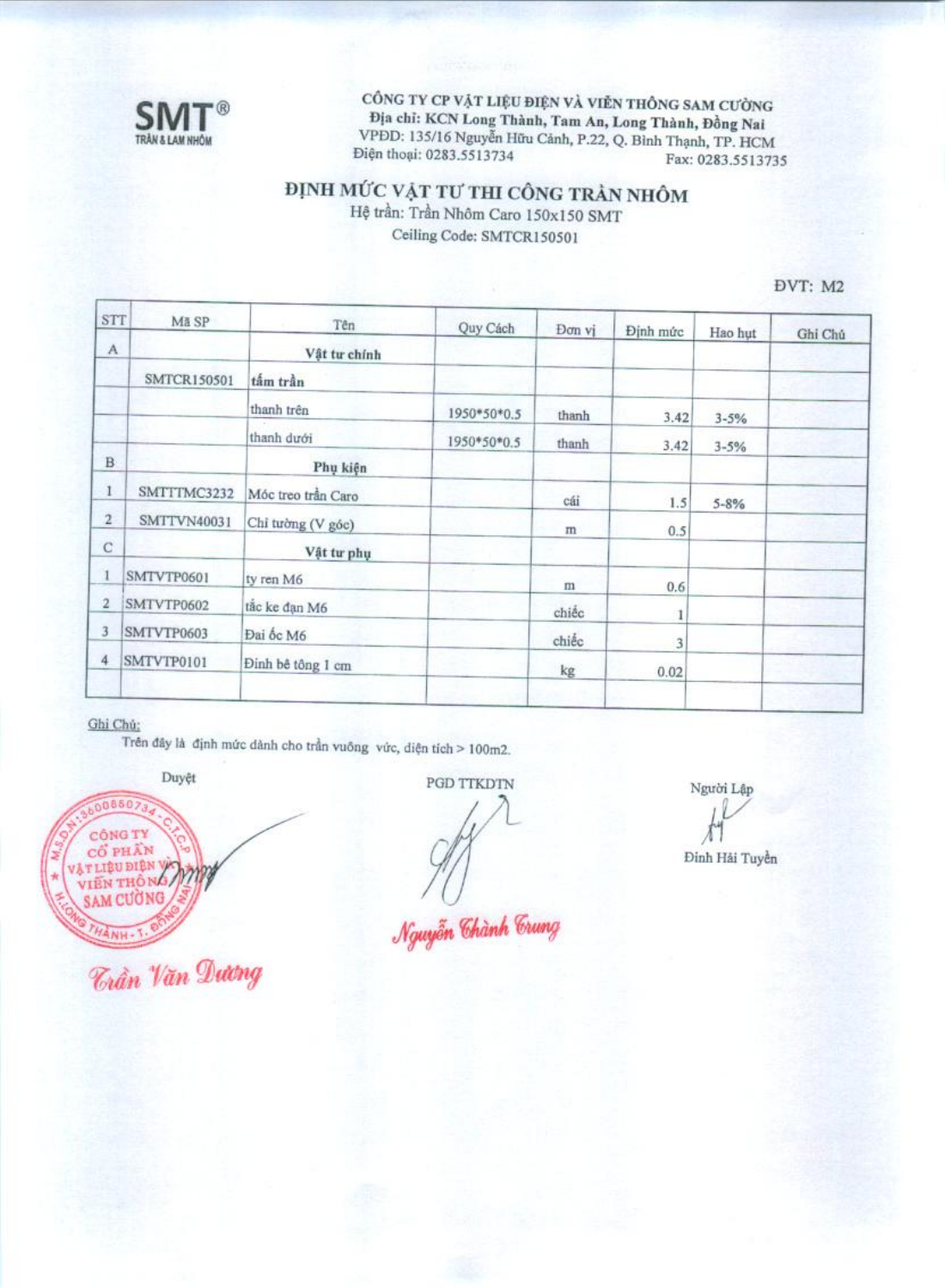

CÔNG TY CP VẬT LIỆU ĐIỆN VÀ VIỄN THÔNG SAM CƯỜNG Địa chỉ: KCN Long Thành, Tam An, Long Thành, Đồng Nai VPDD: 135/16 Nguyễn Hữu Cảnh, P.22, Q. Bình Thạnh, TP. HCM Điện thoại: 0283.5513734 Fax: 0283.5513735

# ĐỊNH MỨC VẬT TƯ THI CÔNG TRẦN NHÔM

Hệ trần: Trần Nhôm Caro 150x150 SMT Ceiling Code: SMTCR150501

DVT: M2

| STT                       | Mã SP              | Tên                | Quy Cách    | Đơn vị | Định mức | Hao hut   | Ghi Chú |
|---------------------------|--------------------|--------------------|-------------|--------|----------|-----------|---------|
| $\boldsymbol{\mathsf{A}}$ |                    | Vật tư chính       |             |        |          |           |         |
|                           | <b>SMTCR150501</b> | tấm trần           |             |        |          |           |         |
|                           |                    | thanh trên         | 1950*50*0.5 | thanh  | 3.42     | $3 - 5%$  |         |
|                           |                    | thanh dưới         | 1950*50*0.5 | thanh  | 3.42     | $3 - 5%$  |         |
| $\overline{B}$            |                    | Phụ kiện           |             |        |          |           |         |
|                           | SMTTTMC3232        | Móc treo trần Caro |             | cái    | 1.5      | $5 - 8\%$ |         |
| $\overline{2}$            | SMTTVN40031        | Chỉ tường (V góc)  |             | m      | 0.5      |           |         |
| C                         |                    | Vật tư phụ         |             |        |          |           |         |
| 1                         | SMTVTP0601         | ty ren M6          |             | m      | 0.6      |           |         |
| $\overline{2}$            | SMTVTP0602         | tão ke dạn M6      |             | chiếc  | 1        |           |         |
| 3                         | SMTVTP0603         | Đai ốc M6          |             | chiếc  | 3        |           |         |
| 4                         | SMTVTP0101         | Đinh bê tông 1 cm  |             | kg     | 0.02     |           |         |
|                           |                    |                    |             |        |          |           |         |

### Ghi Chú:

Trên đây là định mức dành cho trần vuông vức, diện tích > 100m2.

Duyệt



*Trần Văn Dương* 

PGD TTKDTN

Nguyễn Chành Crung

Người Lập

Đinh Hải Tuyền